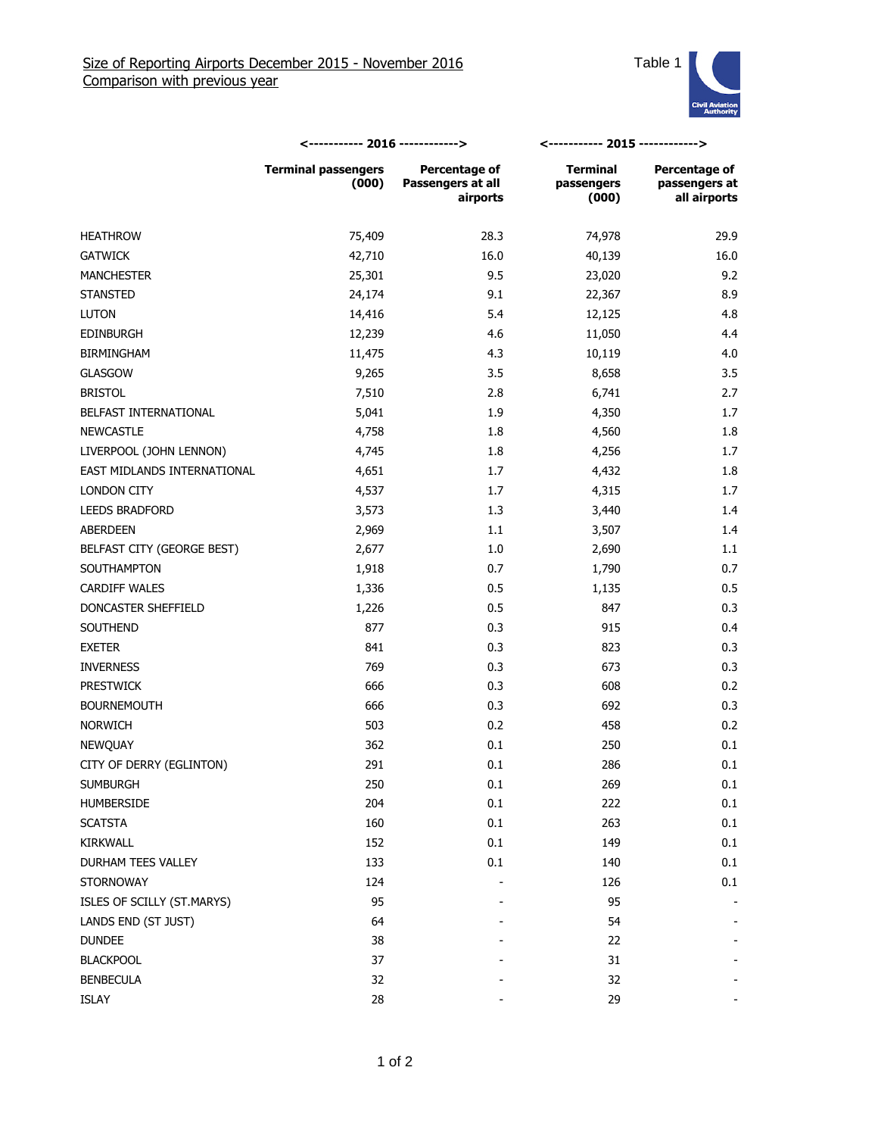

|                             | <----------- 2016 ------------>     |                                                | <----------- 2015 ------------>        |                                                       |
|-----------------------------|-------------------------------------|------------------------------------------------|----------------------------------------|-------------------------------------------------------|
|                             | <b>Terminal passengers</b><br>(000) | Percentage of<br>Passengers at all<br>airports | <b>Terminal</b><br>passengers<br>(000) | <b>Percentage of</b><br>passengers at<br>all airports |
| <b>HEATHROW</b>             | 75,409                              | 28.3                                           | 74,978                                 | 29.9                                                  |
| <b>GATWICK</b>              | 42,710                              | 16.0                                           | 40,139                                 | 16.0                                                  |
| <b>MANCHESTER</b>           | 25,301                              | 9.5                                            | 23,020                                 | 9.2                                                   |
| <b>STANSTED</b>             | 24,174                              | 9.1                                            | 22,367                                 | 8.9                                                   |
| <b>LUTON</b>                | 14,416                              | 5.4                                            | 12,125                                 | 4.8                                                   |
| <b>EDINBURGH</b>            | 12,239                              | 4.6                                            | 11,050                                 | 4.4                                                   |
| <b>BIRMINGHAM</b>           | 11,475                              | 4.3                                            | 10,119                                 | 4.0                                                   |
| <b>GLASGOW</b>              | 9,265                               | 3.5                                            | 8,658                                  | 3.5                                                   |
| <b>BRISTOL</b>              | 7,510                               | 2.8                                            | 6,741                                  | 2.7                                                   |
| BELFAST INTERNATIONAL       | 5,041                               | 1.9                                            | 4,350                                  | 1.7                                                   |
| <b>NEWCASTLE</b>            | 4,758                               | 1.8                                            | 4,560                                  | 1.8                                                   |
| LIVERPOOL (JOHN LENNON)     | 4,745                               | 1.8                                            | 4,256                                  | 1.7                                                   |
| EAST MIDLANDS INTERNATIONAL | 4,651                               | 1.7                                            | 4,432                                  | 1.8                                                   |
| LONDON CITY                 | 4,537                               | 1.7                                            | 4,315                                  | 1.7                                                   |
| <b>LEEDS BRADFORD</b>       | 3,573                               | 1.3                                            | 3,440                                  | 1.4                                                   |
| ABERDEEN                    | 2,969                               | 1.1                                            | 3,507                                  | 1.4                                                   |
| BELFAST CITY (GEORGE BEST)  | 2,677                               | 1.0                                            | 2,690                                  | 1.1                                                   |
| SOUTHAMPTON                 | 1,918                               | 0.7                                            | 1,790                                  | 0.7                                                   |
| <b>CARDIFF WALES</b>        | 1,336                               | 0.5                                            | 1,135                                  | 0.5                                                   |
| DONCASTER SHEFFIELD         | 1,226                               | 0.5                                            | 847                                    | 0.3                                                   |
| SOUTHEND                    | 877                                 | 0.3                                            | 915                                    | 0.4                                                   |
| <b>EXETER</b>               | 841                                 | 0.3                                            | 823                                    | 0.3                                                   |
| <b>INVERNESS</b>            | 769                                 | 0.3                                            | 673                                    | 0.3                                                   |
| <b>PRESTWICK</b>            | 666                                 | 0.3                                            | 608                                    | 0.2                                                   |
| <b>BOURNEMOUTH</b>          | 666                                 | 0.3                                            | 692                                    | 0.3                                                   |
| <b>NORWICH</b>              | 503                                 | 0.2                                            | 458                                    | 0.2                                                   |
| NEWQUAY                     | 362                                 | 0.1                                            | 250                                    | 0.1                                                   |
| CITY OF DERRY (EGLINTON)    | 291                                 | 0.1                                            | 286                                    | 0.1                                                   |
| <b>SUMBURGH</b>             | 250                                 | 0.1                                            | 269                                    | 0.1                                                   |
| HUMBERSIDE                  | 204                                 | 0.1                                            | 222                                    | 0.1                                                   |
| <b>SCATSTA</b>              | 160                                 | 0.1                                            | 263                                    | 0.1                                                   |
| KIRKWALL                    | 152                                 | 0.1                                            | 149                                    | 0.1                                                   |
| DURHAM TEES VALLEY          | 133                                 | 0.1                                            | 140                                    | 0.1                                                   |
| <b>STORNOWAY</b>            | 124                                 |                                                | 126                                    | 0.1                                                   |
| ISLES OF SCILLY (ST.MARYS)  | 95                                  |                                                | 95                                     |                                                       |
| LANDS END (ST JUST)         | 64                                  |                                                | 54                                     |                                                       |
| <b>DUNDEE</b>               | 38                                  |                                                | 22                                     |                                                       |
| <b>BLACKPOOL</b>            | 37                                  |                                                | 31                                     |                                                       |
| <b>BENBECULA</b>            | 32                                  |                                                | 32                                     |                                                       |
| ISLAY                       | 28                                  |                                                | 29                                     |                                                       |